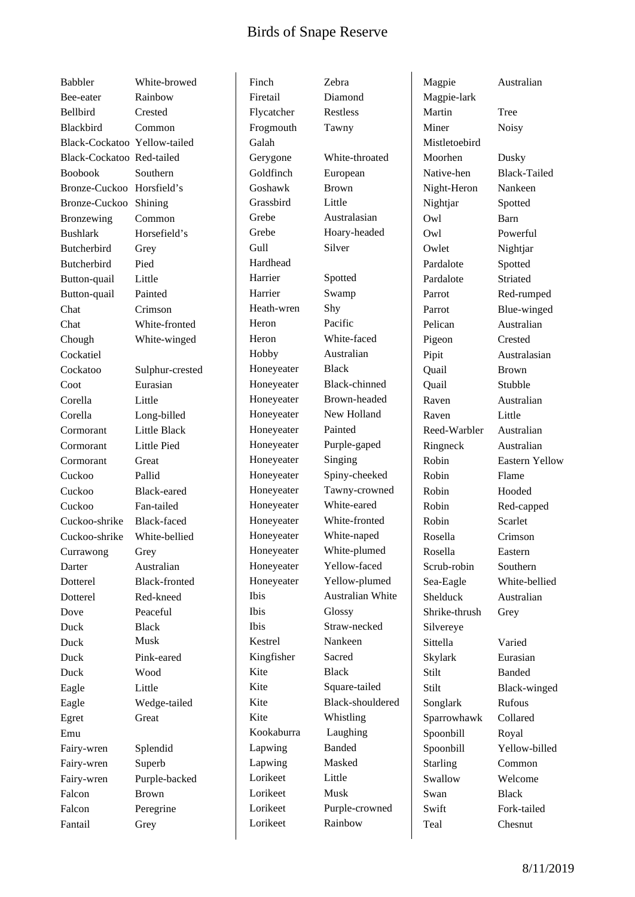## Birds of Snape Reserve

Babbler White-browed Bee-eater Rainbow Bellbird Crested Blackbird Common Black-Cockatoo Yellow-tailed Black-Cockatoo Red-tailed Boobook Southern Bronze-Cuckoo Horsfield's Bronze-Cuckoo Shining Bronzewing Common Bushlark Horsefield's Butcherbird Grey Butcherbird Pied Button-quail Little Button-quail Painted Chat Crimson Chat White-fronted Chough White-winged Cockatiel Coot Eurasian Corella Little Corella Long-billed Cormorant Little Black Cormorant Little Pied Cormorant Great Cuckoo Pallid Cuckoo Black-eared Cuckoo Fan-tailed Cuckoo-shrike Black-faced Cuckoo-shrike White-bellied Currawong Grey Darter Australian Dotterel Black-fronted Dotterel Red-kneed Dove Peaceful Duck Black Duck Musk Duck Pink-eared Duck Wood Eagle Little Eagle Wedge-tailed Egret Great Emu Fairy-wren Splendid Fairy-wren Superb Fairy-wren Purple-backed Falcon Brown Falcon Peregrine Fantail Grey

Cockatoo Sulphur-crested

Finch Zebra Firetail Diamond Flycatcher Restless Frogmouth Tawny Galah Goldfinch European Goshawk Brown Grassbird Little Grebe Australasian Gull Silver Hardhead Harrier Spotted Harrier Swamp Heath-wren Shy Heron Pacific Heron White-faced Hobby Australian Honeyeater Black Honeyeater Painted Honeyeater Singing Honeyeater White-eared Honeyeater White-naped Ibis Glossy Kestrel Nankeen Kingfisher Sacred Kite Black Kite Whistling Kookaburra Laughing Lapwing Banded Lapwing Masked Lorikeet Little Lorikeet Musk Lorikeet Rainbow

Gerygone White-throated Grebe Hoary-headed Honeyeater Black-chinned Honeyeater Brown-headed Honeyeater New Holland Honeyeater Purple-gaped Honeyeater Spiny-cheeked Honeyeater Tawny-crowned Honeyeater White-fronted Honeyeater White-plumed Honeyeater Yellow-faced Honeyeater Yellow-plumed Ibis Australian White Ibis Straw-necked Kite Square-tailed Kite Black-shouldered Lorikeet Purple-crowned

Magpie Australian Magpie-lark Martin Tree Miner Noisy Mistletoebird Moorhen Dusky Night-Heron Nankeen Nightjar Spotted Owl Barn Owl Powerful Owlet Nightjar Pardalote Spotted Pardalote Striated Pelican Australian Pigeon Crested Quail Brown Quail Stubble Raven Australian Raven Little Reed-Warbler Australian Ringneck Australian Robin Flame Robin Hooded Robin Scarlet Rosella Crimson Rosella Eastern Scrub-robin Southern Shelduck Australian Shrike-thrush Grey Silvereye Sittella Varied Skylark Eurasian Stilt Banded Songlark Rufous Sparrowhawk Collared Spoonbill Royal Starling Common Swallow Welcome Swan Black Swift Fork-tailed Teal Chesnut

Native-hen Black-Tailed Parrot Red-rumped Parrot Blue-winged Pipit Australasian Robin Eastern Yellow Robin Red-capped Sea-Eagle White-bellied Stilt Black-winged Spoonbill Yellow-billed